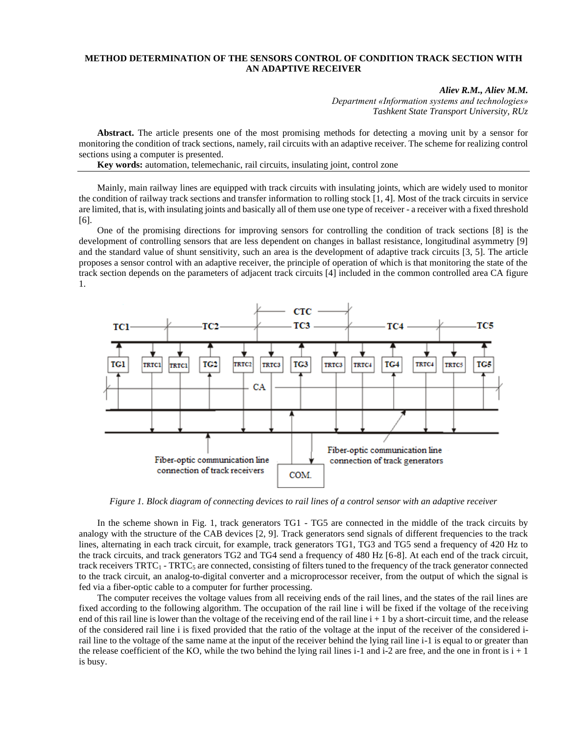## **METHOD DETERMINATION OF THE SENSORS CONTROL OF CONDITION TRACK SECTION WITH AN ADAPTIVE RECEIVER**

## *Aliev R.M., Aliev M.M.*

*Department «Information systems and technologies» Tashkent State Transport University, RUz*

**Abstract.** The article presents one of the most promising methods for detecting a moving unit by a sensor for monitoring the condition of track sections, namely, rail circuits with an adaptive receiver. The scheme for realizing control sections using a computer is presented.

**Key words:** automation, telemechanic, rail circuits, insulating joint, control zone

Mainly, main railway lines are equipped with track circuits with insulating joints, which are widely used to monitor the condition of railway track sections and transfer information to rolling stock [1, 4]. Most of the track circuits in service are limited, that is, with insulating joints and basically all of them use one type of receiver - a receiver with a fixed threshold [6].

One of the promising directions for improving sensors for controlling the condition of track sections [8] is the development of controlling sensors that are less dependent on changes in ballast resistance, longitudinal asymmetry [9] and the standard value of shunt sensitivity, such an area is the development of adaptive track circuits [3, 5]. The article proposes a sensor control with an adaptive receiver, the principle of operation of which is that monitoring the state of the track section depends on the parameters of adjacent track circuits [4] included in the common controlled area CA figure 1.



*Figure 1. Block diagram of connecting devices to rail lines of a control sensor with an adaptive receiver*

In the scheme shown in Fig. 1, track generators TG1 - TG5 are connected in the middle of the track circuits by analogy with the structure of the CAB devices [2, 9]. Track generators send signals of different frequencies to the track lines, alternating in each track circuit, for example, track generators TG1, TG3 and TG5 send a frequency of 420 Hz to the track circuits, and track generators TG2 and TG4 send a frequency of 480 Hz [6-8]. At each end of the track circuit, track receivers  $TRTC_1$  -  $TRTC_5$  are connected, consisting of filters tuned to the frequency of the track generator connected to the track circuit, an analog-to-digital converter and a microprocessor receiver, from the output of which the signal is fed via a fiber-optic cable to a computer for further processing.

The computer receives the voltage values from all receiving ends of the rail lines, and the states of the rail lines are fixed according to the following algorithm. The occupation of the rail line i will be fixed if the voltage of the receiving end of this rail line is lower than the voltage of the receiving end of the rail line  $i + 1$  by a short-circuit time, and the release of the considered rail line i is fixed provided that the ratio of the voltage at the input of the receiver of the considered irail line to the voltage of the same name at the input of the receiver behind the lying rail line i-1 is equal to or greater than the release coefficient of the KO, while the two behind the lying rail lines i-1 and i-2 are free, and the one in front is  $i + 1$ is busy.